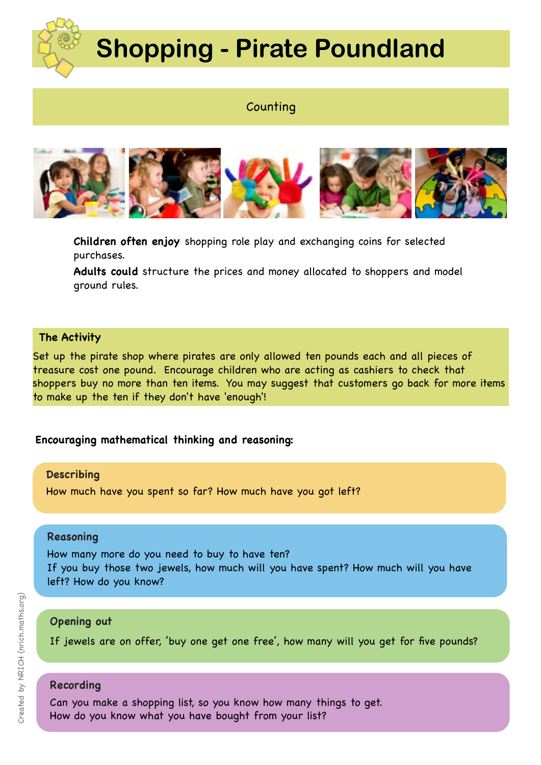

# **Shopping - Pirate Poundland**

# **Counting**



**Children often enjoy** shopping role play and exchanging coins for selected purchases.

**Adults could** structure the prices and money allocated to shoppers and model ground rules.

## **The Activity**

Set up the pirate shop where pirates are only allowed ten pounds each and all pieces of treasure cost one pound. Encourage children who are acting as cashiers to check that shoppers buy no more than ten items. You may suggest that customers go back for more items to make up the ten if they don't have 'enough'!

## **Encouraging mathematical thinking and reasoning:**

#### **Describing**

How much have you spent so far? How much have you got left?

#### **Reasoning**

How many more do you need to buy to have ten? If you buy those two jewels, how much will you have spent? How much will you have left? How do you know?

## **Opening out**

If jewels are on offer, 'buy one get one free', how many will you get for five pounds?

### **Recording**

Can you make a shopping list, so you know how many things to get. How do you know what you have bought from your list?